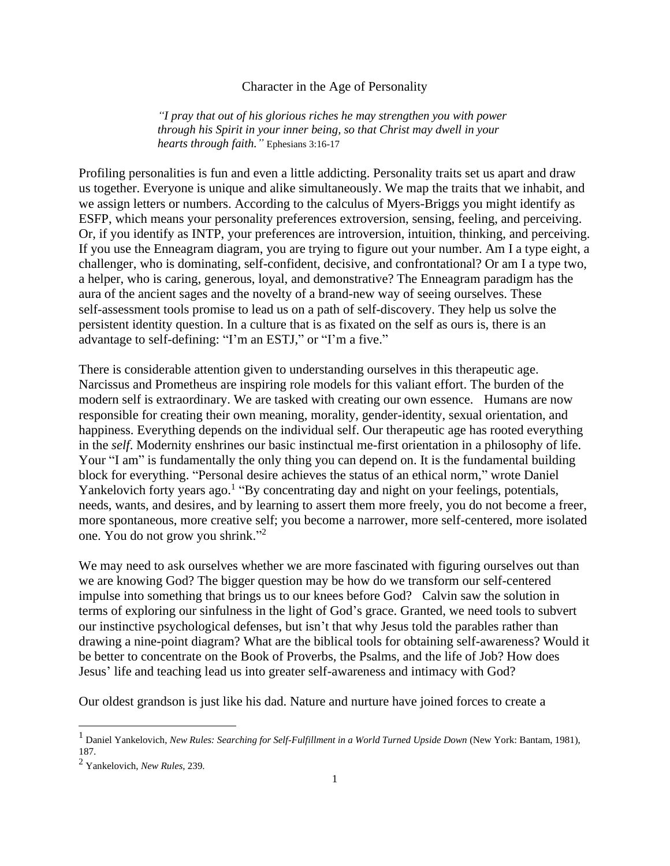## Character in the Age of Personality

*"I pray that out of his glorious riches he may strengthen you with power through his Spirit in your inner being, so that Christ may dwell in your hearts through faith."* Ephesians 3:16-17

Profiling personalities is fun and even a little addicting. Personality traits set us apart and draw us together. Everyone is unique and alike simultaneously. We map the traits that we inhabit, and we assign letters or numbers. According to the calculus of Myers-Briggs you might identify as ESFP, which means your personality preferences extroversion, sensing, feeling, and perceiving. Or, if you identify as INTP, your preferences are introversion, intuition, thinking, and perceiving. If you use the Enneagram diagram, you are trying to figure out your number. Am I a type eight, a challenger, who is dominating, self-confident, decisive, and confrontational? Or am I a type two, a helper, who is caring, generous, loyal, and demonstrative? The Enneagram paradigm has the aura of the ancient sages and the novelty of a brand-new way of seeing ourselves. These self-assessment tools promise to lead us on a path of self-discovery. They help us solve the persistent identity question. In a culture that is as fixated on the self as ours is, there is an advantage to self-defining: "I'm an ESTJ," or "I'm a five."

There is considerable attention given to understanding ourselves in this therapeutic age. Narcissus and Prometheus are inspiring role models for this valiant effort. The burden of the modern self is extraordinary. We are tasked with creating our own essence. Humans are now responsible for creating their own meaning, morality, gender-identity, sexual orientation, and happiness. Everything depends on the individual self. Our therapeutic age has rooted everything in the *self*. Modernity enshrines our basic instinctual me-first orientation in a philosophy of life. Your "I am" is fundamentally the only thing you can depend on. It is the fundamental building block for everything. "Personal desire achieves the status of an ethical norm," wrote Daniel Yankelovich forty years ago.<sup>1</sup> "By concentrating day and night on your feelings, potentials, needs, wants, and desires, and by learning to assert them more freely, you do not become a freer, more spontaneous, more creative self; you become a narrower, more self-centered, more isolated one. You do not grow you shrink."<sup>2</sup>

We may need to ask ourselves whether we are more fascinated with figuring ourselves out than we are knowing God? The bigger question may be how do we transform our self-centered impulse into something that brings us to our knees before God? Calvin saw the solution in terms of exploring our sinfulness in the light of God's grace. Granted, we need tools to subvert our instinctive psychological defenses, but isn't that why Jesus told the parables rather than drawing a nine-point diagram? What are the biblical tools for obtaining self-awareness? Would it be better to concentrate on the Book of Proverbs, the Psalms, and the life of Job? How does Jesus' life and teaching lead us into greater self-awareness and intimacy with God?

Our oldest grandson is just like his dad. Nature and nurture have joined forces to create a

<sup>1</sup> Daniel Yankelovich, *New Rules: Searching for Self-Fulfillment in a World Turned Upside Down* (New York: Bantam, 1981), 187.

<sup>2</sup> Yankelovich, *New Rules*, 239.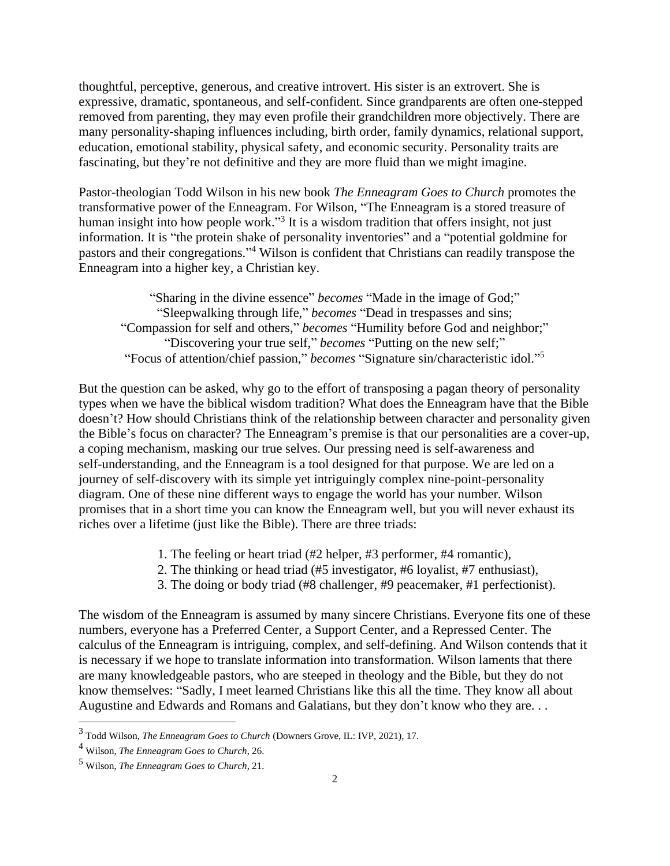thoughtful, perceptive, generous, and creative introvert. His sister is an extrovert. She is expressive, dramatic, spontaneous, and self-confident. Since grandparents are often one-stepped removed from parenting, they may even profile their grandchildren more objectively. There are many personality-shaping influences including, birth order, family dynamics, relational support, education, emotional stability, physical safety, and economic security. Personality traits are fascinating, but they're not definitive and they are more fluid than we might imagine.

Pastor-theologian Todd Wilson in his new book *The Enneagram Goes to Church* promotes the transformative power of the Enneagram. For Wilson, "The Enneagram is a stored treasure of human insight into how people work."<sup>3</sup> It is a wisdom tradition that offers insight, not just information. It is "the protein shake of personality inventories" and a "potential goldmine for pastors and their congregations."<sup>4</sup> Wilson is confident that Christians can readily transpose the Enneagram into a higher key, a Christian key.

"Sharing in the divine essence" *becomes* "Made in the image of God;" "Sleepwalking through life," *becomes* "Dead in trespasses and sins; "Compassion for self and others," *becomes* "Humility before God and neighbor;" "Discovering your true self," *becomes* "Putting on the new self;" "Focus of attention/chief passion," *becomes* "Signature sin/characteristic idol." 5

But the question can be asked, why go to the effort of transposing a pagan theory of personality types when we have the biblical wisdom tradition? What does the Enneagram have that the Bible doesn't? How should Christians think of the relationship between character and personality given the Bible's focus on character? The Enneagram's premise is that our personalities are a cover-up, a coping mechanism, masking our true selves. Our pressing need is self-awareness and self-understanding, and the Enneagram is a tool designed for that purpose. We are led on a journey of self-discovery with its simple yet intriguingly complex nine-point-personality diagram. One of these nine different ways to engage the world has your number. Wilson promises that in a short time you can know the Enneagram well, but you will never exhaust its riches over a lifetime (just like the Bible). There are three triads:

- 1. The feeling or heart triad (#2 helper, #3 performer, #4 romantic),
- 2. The thinking or head triad (#5 investigator, #6 loyalist, #7 enthusiast),
- 3. The doing or body triad (#8 challenger, #9 peacemaker, #1 perfectionist).

The wisdom of the Enneagram is assumed by many sincere Christians. Everyone fits one of these numbers, everyone has a Preferred Center, a Support Center, and a Repressed Center. The calculus of the Enneagram is intriguing, complex, and self-defining. And Wilson contends that it is necessary if we hope to translate information into transformation. Wilson laments that there are many knowledgeable pastors, who are steeped in theology and the Bible, but they do not know themselves: "Sadly, I meet learned Christians like this all the time. They know all about Augustine and Edwards and Romans and Galatians, but they don't know who they are. . .

<sup>3</sup> Todd Wilson, *The Enneagram Goes to Church* (Downers Grove, IL: IVP, 2021), 17.

<sup>4</sup> Wilson, *The Enneagram Goes to Church*, 26.

<sup>5</sup> Wilson, *The Enneagram Goes to Church*, 21.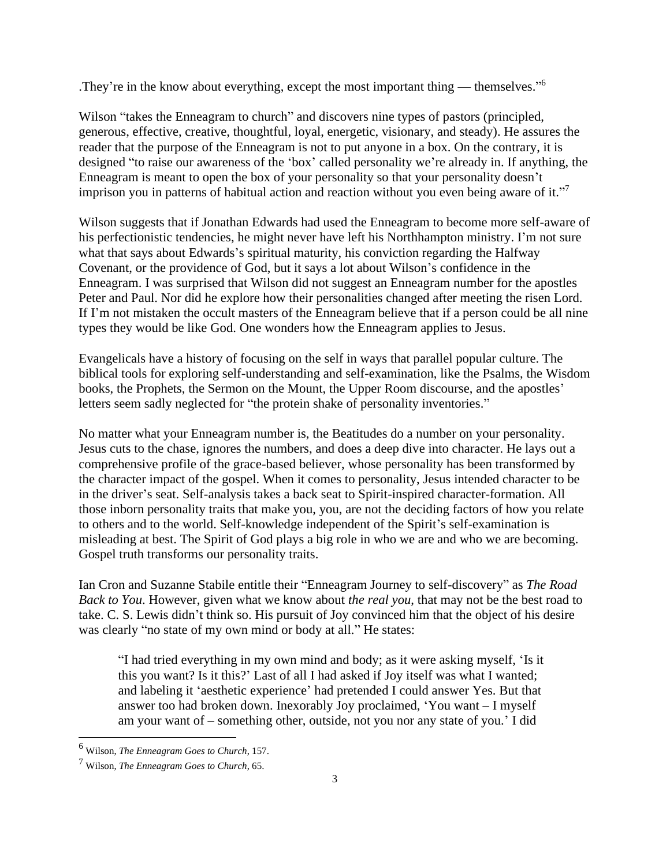.They're in the know about everything, except the most important thing — themselves." 6

Wilson "takes the Enneagram to church" and discovers nine types of pastors (principled, generous, effective, creative, thoughtful, loyal, energetic, visionary, and steady). He assures the reader that the purpose of the Enneagram is not to put anyone in a box. On the contrary, it is designed "to raise our awareness of the 'box' called personality we're already in. If anything, the Enneagram is meant to open the box of your personality so that your personality doesn't imprison you in patterns of habitual action and reaction without you even being aware of it."<sup>7</sup>

Wilson suggests that if Jonathan Edwards had used the Enneagram to become more self-aware of his perfectionistic tendencies, he might never have left his Northhampton ministry. I'm not sure what that says about Edwards's spiritual maturity, his conviction regarding the Halfway Covenant, or the providence of God, but it says a lot about Wilson's confidence in the Enneagram. I was surprised that Wilson did not suggest an Enneagram number for the apostles Peter and Paul. Nor did he explore how their personalities changed after meeting the risen Lord. If I'm not mistaken the occult masters of the Enneagram believe that if a person could be all nine types they would be like God. One wonders how the Enneagram applies to Jesus.

Evangelicals have a history of focusing on the self in ways that parallel popular culture. The biblical tools for exploring self-understanding and self-examination, like the Psalms, the Wisdom books, the Prophets, the Sermon on the Mount, the Upper Room discourse, and the apostles' letters seem sadly neglected for "the protein shake of personality inventories."

No matter what your Enneagram number is, the Beatitudes do a number on your personality. Jesus cuts to the chase, ignores the numbers, and does a deep dive into character. He lays out a comprehensive profile of the grace-based believer, whose personality has been transformed by the character impact of the gospel. When it comes to personality, Jesus intended character to be in the driver's seat. Self-analysis takes a back seat to Spirit-inspired character-formation. All those inborn personality traits that make you, you, are not the deciding factors of how you relate to others and to the world. Self-knowledge independent of the Spirit's self-examination is misleading at best. The Spirit of God plays a big role in who we are and who we are becoming. Gospel truth transforms our personality traits.

Ian Cron and Suzanne Stabile entitle their "Enneagram Journey to self-discovery" as *The Road Back to You*. However, given what we know about *the real you*, that may not be the best road to take. C. S. Lewis didn't think so. His pursuit of Joy convinced him that the object of his desire was clearly "no state of my own mind or body at all." He states:

"I had tried everything in my own mind and body; as it were asking myself, 'Is it this you want? Is it this?' Last of all I had asked if Joy itself was what I wanted; and labeling it 'aesthetic experience' had pretended I could answer Yes. But that answer too had broken down. Inexorably Joy proclaimed, 'You want – I myself am your want of – something other, outside, not you nor any state of you.' I did

<sup>6</sup> Wilson, *The Enneagram Goes to Church*, 157.

<sup>7</sup> Wilson, *The Enneagram Goes to Church*, 65.